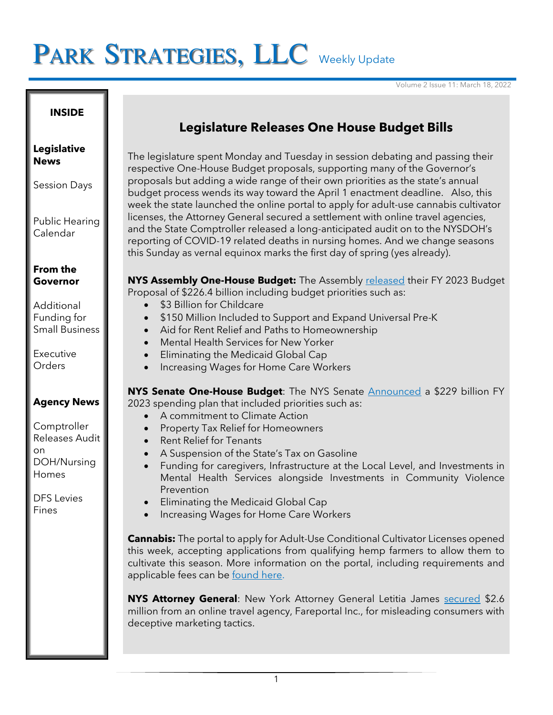# PARK STRATEGIES, LLC Weekly Update

Volume 2 Issue 11: March 18, 2022

#### **INSIDE**

#### **Legislative News**

Session Days

Public Hearing Calendar

## **From the Governor**

Additional Funding for Small Business

Executive Orders

## **Agency News**

**Comptroller** Releases Audit on DOH/Nursing Homes

DFS Levies Fines

## **Legislature Releases One House Budget Bills**

The legislature spent Monday and Tuesday in session debating and passing their respective One-House Budget proposals, supporting many of the Governor's proposals but adding a wide range of their own priorities as the state's annual budget process wends its way toward the April 1 enactment deadline. Also, this week the state launched the online portal to apply for adult-use cannabis cultivator licenses, the Attorney General secured a settlement with online travel agencies, and the State Comptroller released a long-anticipated audit on to the NYSDOH's reporting of COVID-19 related deaths in nursing homes. And we change seasons this Sunday as vernal equinox marks the first day of spring (yes already).

**NYS Assembly One-House Budget:** The Assembly [released](https://nyassembly.gov/Press/?sec=story&story=101141) their FY 2023 Budget Proposal of \$226.4 billion including budget priorities such as:

- \$3 Billion for Childcare
- \$150 Million Included to Support and Expand Universal Pre-K
- Aid for Rent Relief and Paths to Homeownership
- Mental Health Services for New Yorker
- Eliminating the Medicaid Global Cap
- Increasing Wages for Home Care Workers

**NYS Senate One-House Budget**: The NYS Senate [Announced](https://www.nysenate.gov/newsroom/press-releases/senate-one-house-budget-bill-outlines-balanced-bold-investments-throughout) a \$229 billion FY 2023 spending plan that included priorities such as:

- A commitment to Climate Action
- Property Tax Relief for Homeowners
- Rent Relief for Tenants
- A Suspension of the State's Tax on Gasoline
- Funding for caregivers, Infrastructure at the Local Level, and Investments in Mental Health Services alongside Investments in Community Violence Prevention
- Eliminating the Medicaid Global Cap
- Increasing Wages for Home Care Workers

**Cannabis:** The portal to apply for Adult-Use Conditional Cultivator Licenses opened this week, accepting applications from qualifying hemp farmers to allow them to cultivate this season. More information on the portal, including requirements and applicable fees can be [found here.](https://www.businessexpress.ny.gov/app/answers/cms/a_id/3819/kw/ocmconditional)

**NYS Attorney General**: New York Attorney General Letitia James [secured](https://ag.ny.gov/press-release/2022/attorney-general-james-secures-26-million-online-travel-agency-deceptive) \$2.6 million from an online travel agency, Fareportal Inc., for misleading consumers with deceptive marketing tactics.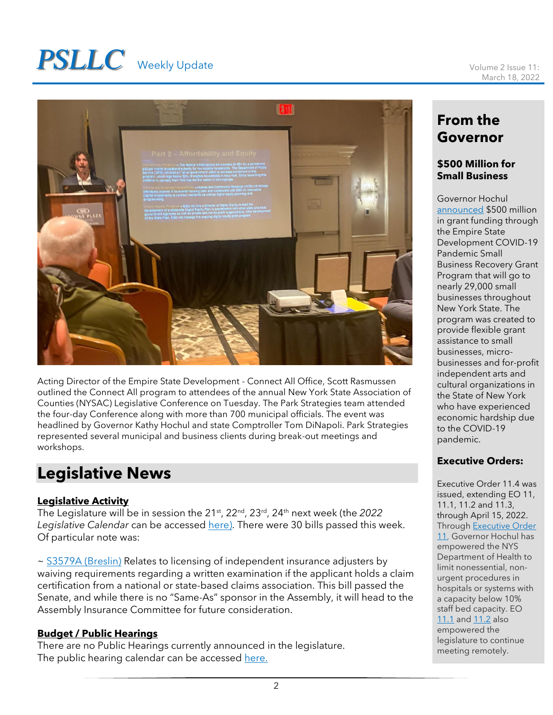# **PSLLC** Weekly Update Volume 2 Issue 11:



Acting Director of the Empire State Development - Connect All Office, Scott Rasmussen outlined the Connect All program to attendees of the annual New York State Association of Counties (NYSAC) Legislative Conference on Tuesday. The Park Strategies team attended the four-day Conference along with more than 700 municipal officials. The event was headlined by Governor Kathy Hochul and state Comptroller Tom DiNapoli. Park Strategies represented several municipal and business clients during break-out meetings and workshops.

## **Legislative News**

## **Legislative Activity**

The Legislature will be in session the 21<sup>st</sup>, 22<sup>nd</sup>, 23<sup>rd</sup>, 24<sup>th</sup> next week (the 2022 Legislative Calendar can be accessed [here\)](https://www.nyassembly.gov/leg/docs/sessioncalendar_2022.pdf). There were 30 bills passed this week. Of particular note was:

~ [S3579A \(Breslin\)](https://www.nysenate.gov/legislation/bills/2021/s3579/amendment/original) Relates to licensing of independent insurance adjusters by waiving requirements regarding a written examination if the applicant holds a claim certification from a national or state-based claims association. This bill passed the Senate, and while there is no "Same-As" sponsor in the Assembly, it will head to the Assembly Insurance Committee for future consideration.

## **Budget / Public Hearings**

There are no Public Hearings currently announced in the legislature. The public hearing calendar can be accessed [here.](https://www.nyassembly.gov/leg/?sh=hear)

## **From the Governor**

### **\$500 Million for Small Business**

Governor Hochul [announced](https://www.governor.ny.gov/news/governor-hochul-announces-over-500-million-pandemic-relief-distributed-nearly-29000-small) \$500 million in grant funding through the Empire State Development COVID-19 Pandemic Small Business Recovery Grant Program that will go to nearly 29,000 small businesses throughout New York State. The program was created to provide flexible grant assistance to small businesses, microbusinesses and for-profit independent arts and cultural organizations in the State of New York who have experienced economic hardship due to the COVID-19 pandemic.

## **Executive Orders:**

Executive Order 11.4 was issued, extending EO 11, 11.1, 11.2 and 11.3, through April 15, 2022. Through [Executive Order](https://www.governor.ny.gov/executive-order/no-11-declaring-disaster-emergency-state-new-york)  [11,](https://www.governor.ny.gov/executive-order/no-11-declaring-disaster-emergency-state-new-york) Governor Hochul has empowered the NYS Department of Health to limit nonessential, nonurgent procedures in hospitals or systems with a capacity below 10% staff bed capacity. EO [11.1](https://www.governor.ny.gov/executive-order/no-111-declaring-disaster-emergency-state-new-york) an[d 11.2](https://www.governor.ny.gov/executive-order/no-112-declaring-disaster-emergency-state-new-york) also empowered the legislature to continue meeting remotely.